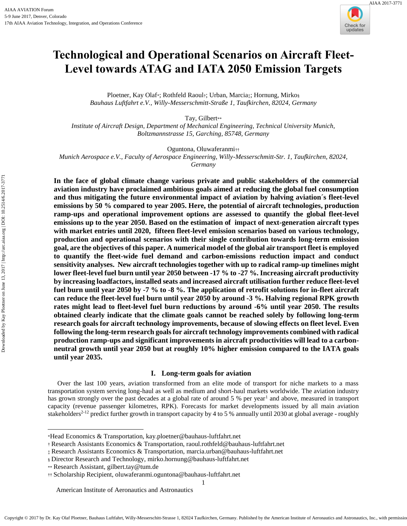

# **Technological and Operational Scenarios on Aircraft Fleet-Level towards ATAG and IATA 2050 Emission Targets**

Ploetner, Kay Olaf\*; Rothfeld Raoul†; Urban, Marcia‡; Hornung, Mirko§ *Bauhaus Luftfahrt e.V., Willy-Messerschmitt-Straße 1, Taufkirchen, 82024, Germany*

Tay, Gilbert\*\* *Institute of Aircraft Design, Department of Mechanical Engineering, Technical University Munich, Boltzmannstrasse 15, Garching, 85748, Germany* 

Oguntona, Oluwaferanmi††

*Munich Aerospace e.V., Faculty of Aerospace Engineering, Willy-Messerschmitt-Str. 1, Taufkirchen, 82024, Germany* 

**In the face of global climate change various private and public stakeholders of the commercial aviation industry have proclaimed ambitious goals aimed at reducing the global fuel consumption and thus mitigating the future environmental impact of aviation by halving aviation´s fleet-level emissions by 50 % compared to year 2005. Here, the potential of aircraft technologies, production ramp-ups and operational improvement options are assessed to quantify the global fleet-level emissions up to the year 2050. Based on the estimation of impact of next-generation aircraft types with market entries until 2020, fifteen fleet-level emission scenarios based on various technology, production and operational scenarios with their single contribution towards long-term emission goal, are the objectives of this paper. A numerical model of the global air transport fleet is employed to quantify the fleet-wide fuel demand and carbon-emissions reduction impact and conduct sensitivity analyses. New aircraft technologies together with up to radical ramp-up timelines might lower fleet-level fuel burn until year 2050 between -17 % to -27 %. Increasing aircraft productivity by increasing loadfactors, installed seats and increased aircraft utilisation further reduce fleet-level fuel burn until year 2050 by -7 % to -8 %. The application of retrofit solutions for in-fleet aircraft can reduce the fleet-level fuel burn until year 2050 by around -3 %. Halving regional RPK growth rates might lead to fleet-level fuel burn reductions by around -6% until year 2050. The results obtained clearly indicate that the climate goals cannot be reached solely by following long-term research goals for aircraft technology improvements, because of slowing effects on fleet level. Even following the long-term research goals for aircraft technology improvements combined with radical production ramp-ups and significant improvements in aircraft productivities will lead to a carbonneutral growth until year 2050 but at roughly 10% higher emission compared to the IATA goals until year 2035.** 

# **I. Long-term goals for aviation**

Over the last 100 years, aviation transformed from an elite mode of transport for niche markets to a mass transportation system serving long-haul as well as medium and short-haul markets worldwide. The aviation industry has grown strongly over the past decades at a global rate of around 5 % per year<sup>1</sup> and above, measured in transport capacity (revenue passenger kilometres, RPK). Forecasts for market developments issued by all main aviation stakeholders<sup>2-12</sup> predict further growth in transport capacity by 4 to 5 % annually until 2030 at global average - roughly

 $\overline{a}$ 

1

<sup>\*</sup>Head Economics & Transportation, kay.ploetner@bauhaus-luftfahrt.net

<sup>†</sup> Research Assistants Economics & Transportation, raoul.rothfeld@bauhaus-luftfahrt.net

<sup>‡</sup> Research Assistants Economics & Transportation, marcia.urban@bauhaus-luftfahrt.net

<sup>§</sup> Director Research and Technology, mirko.hornung@bauhaus-luftfahrt.net

<sup>\*\*</sup> Research Assistant, gilbert.tay@tum.de

<sup>††</sup> Scholarship Recipient, oluwaferanmi.oguntona@bauhaus-luftfahrt.net

American Institute of Aeronautics and Astronautics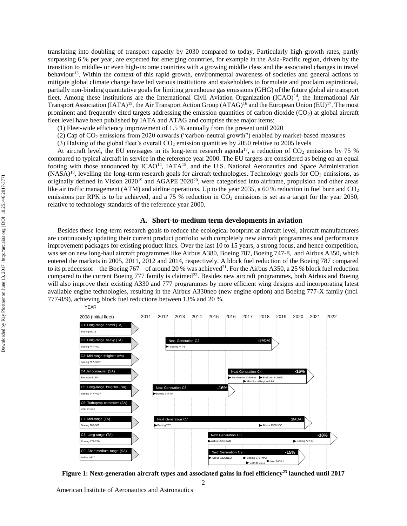translating into doubling of transport capacity by 2030 compared to today. Particularly high growth rates, partly surpassing 6 % per year, are expected for emerging countries, for example in the Asia-Pacific region, driven by the transition to middle- or even high-income countries with a growing middle class and the associated changes in travel behaviour<sup>13</sup>. Within the context of this rapid growth, environmental awareness of societies and general actions to mitigate global climate change have led various institutions and stakeholders to formulate and proclaim aspirational, partially non-binding quantitative goals for limiting greenhouse gas emissions (GHG) of the future global air transport fleet. Among these institutions are the International Civil Aviation Organization (ICAO)<sup>14</sup>, the International Air Transport Association  $(IATA)^{15}$ , the Air Transport Action Group  $(ATAG)^{16}$  and the European Union  $(EU)^{17}$ . The most prominent and frequently cited targets addressing the emission quantities of carbon dioxide ( $CO<sub>2</sub>$ ) at global aircraft fleet level have been published by IATA and ATAG and comprise three major items:

- (1) Fleet-wide efficiency improvement of 1.5 % annually from the present until 2020
- (2) Cap of CO<sup>2</sup> emissions from 2020 onwards ("carbon-neutral growth") enabled by market-based measures
- (3) Halving of the global fleet's overall  $CO<sub>2</sub>$  emission quantities by 2050 relative to 2005 levels

At aircraft level, the EU envisages in its long-term research agenda<sup>17</sup>, a reduction of  $CO<sub>2</sub>$  emissions by 75 % compared to typical aircraft in service in the reference year 2000. The EU targets are considered as being on an equal footing with those announced by  $ICAO^{14}$ ,  $IATA^{15}$ , and the U.S. National Aeronautics and Space Administration  $(NASA)^{18}$ , levelling the long-term research goals for aircraft technologies. Technology goals for  $CO_2$  emissions, as originally defined in Vision 2020<sup>19</sup> and AGAPE 2020<sup>20</sup>, were categorised into airframe, propulsion and other areas like air traffic management (ATM) and airline operations. Up to the year 2035, a 60 % reduction in fuel burn and  $CO<sub>2</sub>$ emissions per RPK is to be achieved, and a 75 % reduction in  $CO<sub>2</sub>$  emissions is set as a target for the year 2050, relative to technology standards of the reference year 2000.

## **A. Short-to-medium term developments in aviation**

Besides these long-term research goals to reduce the ecological footprint at aircraft level, aircraft manufacturers are continuously updating their current product portfolio with completely new aircraft programmes and performance improvement packages for existing product lines. Over the last 10 to 15 years, a strong focus, and hence competition, was set on new long-haul aircraft programmes like Airbus A380, Boeing 787, Boeing 747-8, and Airbus A350, which entered the markets in 2005, 2011, 2012 and 2014, respectively. A block fuel reduction of the Boeing 787 compared to its predecessor – the Boeing 767 – of around 20 % was achieved<sup>21</sup>. For the Airbus A350, a 25 % block fuel reduction compared to the current Boeing 777 family is claimed<sup>22</sup>. Besides new aircraft programmes, both Airbus and Boeing will also improve their existing A330 and 777 programmes by more efficient wing designs and incorporating latest available engine technologies, resulting in the Airbus A330neo (new engine option) and Boeing 777-X family (incl. 777-8/9), achieving block fuel reductions between 13% and 20 %.



**Figure 1: Next-generation aircraft types and associated gains in fuel efficiency <sup>23</sup> launched until 2017**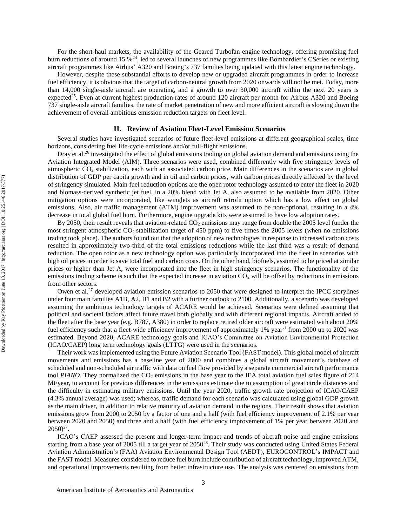For the short-haul markets, the availability of the Geared Turbofan engine technology, offering promising fuel burn reductions of around 15 %<sup>24</sup>, led to several launches of new programmes like Bombardier's CSeries or existing aircraft programmes like Airbus' A320 and Boeing's 737 families being updated with this latest engine technology.

However, despite these substantial efforts to develop new or upgraded aircraft programmes in order to increase fuel efficiency, it is obvious that the target of carbon-neutral growth from 2020 onwards will not be met. Today, more than 14,000 single-aisle aircraft are operating, and a growth to over 30,000 aircraft within the next 20 years is expected<sup>25</sup>. Even at current highest production rates of around 120 aircraft per month for Airbus A320 and Boeing 737 single-aisle aircraft families, the rate of market penetration of new and more efficient aircraft is slowing down the achievement of overall ambitious emission reduction targets on fleet level.

#### **II. Review of Aviation Fleet-Level Emission Scenarios**

Several studies have investigated scenarios of future fleet-level emissions at different geographical scales, time horizons, considering fuel life-cycle emissions and/or full-flight emissions.

Dray et al.<sup>26</sup> investigated the effect of global emissions trading on global aviation demand and emissions using the Aviation Integrated Model (AIM). Three scenarios were used, combined differently with five stringency levels of atmospheric CO<sup>2</sup> stabilization, each with an associated carbon price. Main differences in the scenarios are in global distribution of GDP per capita growth and in oil and carbon prices, with carbon prices directly affected by the level of stringency simulated. Main fuel reduction options are the open rotor technology assumed to enter the fleet in 2020 and biomass-derived synthetic jet fuel, in a 20% blend with Jet A, also assumed to be available from 2020. Other mitigation options were incorporated, like winglets as aircraft retrofit option which has a low effect on global emissions. Also, air traffic management (ATM) improvement was assumed to be non-optional, resulting in a 4% decrease in total global fuel burn. Furthermore, engine upgrade kits were assumed to have low adoption rates.

By 2050, their result reveals that aviation-related  $CO<sub>2</sub>$  emissions may range from double the 2005 level (under the most stringent atmospheric  $CO_2$  stabilization target of 450 ppm) to five times the 2005 levels (when no emissions trading took place). The authors found out that the adoption of new technologies in response to increased carbon costs resulted in approximately two-third of the total emissions reductions while the last third was a result of demand reduction. The open rotor as a new technology option was particularly incorporated into the fleet in scenarios with high oil prices in order to save total fuel and carbon costs. On the other hand, biofuels, assumed to be priced at similar prices or higher than Jet A, were incorporated into the fleet in high stringency scenarios. The functionality of the emissions trading scheme is such that the expected increase in aviation  $CO<sub>2</sub>$  will be offset by reductions in emissions from other sectors.

Owen et al.<sup>27</sup> developed aviation emission scenarios to 2050 that were designed to interpret the IPCC storylines under four main families A1B, A2, B1 and B2 with a further outlook to 2100. Additionally, a scenario was developed assuming the ambitious technology targets of ACARE would be achieved. Scenarios were defined assuming that political and societal factors affect future travel both globally and with different regional impacts. Aircraft added to the fleet after the base year (e.g. B787, A380) in order to replace retired older aircraft were estimated with about 20% fuel efficiency such that a fleet-wide efficiency improvement of approximately 1% year<sup>-1</sup> from 2000 up to 2020 was estimated. Beyond 2020, ACARE technology goals and ICAO's Committee on Aviation Environmental Protection (ICAO/CAEP) long term technology goals (LTTG) were used in the scenarios.

Their work was implemented using the Future Aviation Scenario Tool (FAST model). This global model of aircraft movements and emissions has a baseline year of 2000 and combines a global aircraft movement's database of scheduled and non-scheduled air traffic with data on fuel flow provided by a separate commercial aircraft performance tool *PIANO*. They normalized the CO<sub>2</sub> emissions in the base year to the IEA total aviation fuel sales figure of 214 Mt/year, to account for previous differences in the emissions estimate due to assumption of great circle distances and the difficulty in estimating military emissions. Until the year 2020, traffic growth rate projection of ICAO/CAEP (4.3% annual average) was used; whereas, traffic demand for each scenario was calculated using global GDP growth as the main driver, in addition to relative maturity of aviation demand in the regions. Their result shows that aviation emissions grow from 2000 to 2050 by a factor of one and a half (with fuel efficiency improvement of 2.1% per year between 2020 and 2050) and three and a half (with fuel efficiency improvement of 1% per year between 2020 and  $2050)^{27}$ .

ICAO's CAEP assessed the present and longer-term impact and trends of aircraft noise and engine emissions starting from a base year of 2005 till a target year of 2050<sup>28</sup>. Their study was conducted using United States Federal Aviation Administration's (FAA) Aviation Environmental Design Tool (AEDT), EUROCONTROL's IMPACT and the FAST model. Measures considered to reduce fuel burn include contribution of aircraft technology, improved ATM, and operational improvements resulting from better infrastructure use. The analysis was centered on emissions from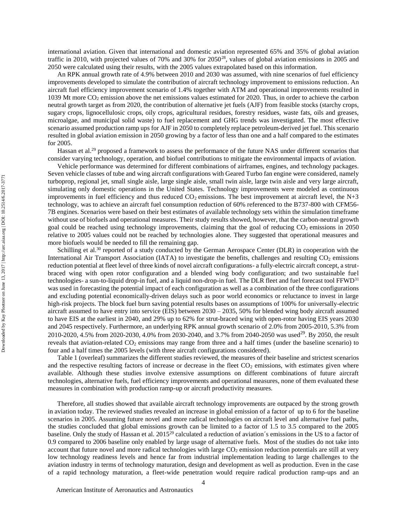international aviation. Given that international and domestic aviation represented 65% and 35% of global aviation traffic in 2010, with projected values of 70% and 30% for  $2050^{28}$ , values of global aviation emissions in 2005 and 2050 were calculated using their results, with the 2005 values extrapolated based on this information.

An RPK annual growth rate of 4.9% between 2010 and 2030 was assumed, with nine scenarios of fuel efficiency improvements developed to simulate the contribution of aircraft technology improvement to emissions reduction. An aircraft fuel efficiency improvement scenario of 1.4% together with ATM and operational improvements resulted in 1039 Mt more CO<sup>2</sup> emission above the net emissions values estimated for 2020. Thus, in order to achieve the carbon neutral growth target as from 2020, the contribution of alternative jet fuels (AJF) from feasible stocks (starchy crops, sugary crops, lignocellulosic crops, oily crops, agricultural residues, forestry residues, waste fats, oils and greases, microalgae, and municipal solid waste) to fuel replacement and GHG trends was investigated. The most effective scenario assumed production ramp ups for AJF in 2050 to completely replace petroleum-derived jet fuel. This scenario resulted in global aviation emission in 2050 growing by a factor of less than one and a half compared to the estimates for 2005.

Hassan et al.<sup>29</sup> proposed a framework to assess the performance of the future NAS under different scenarios that consider varying technology, operation, and biofuel contributions to mitigate the environmental impacts of aviation.

Vehicle performance was determined for different combinations of airframes, engines, and technology packages. Seven vehicle classes of tube and wing aircraft configurations with Geared Turbo fan engine were considered, namely turboprop, regional jet, small single aisle, large single aisle, small twin aisle, large twin aisle and very large aircraft, simulating only domestic operations in the United States. Technology improvements were modeled as continuous improvements in fuel efficiency and thus reduced  $CO<sub>2</sub>$  emissions. The best improvement at aircraft level, the N+3 technology, was to achieve an aircraft fuel consumption reduction of 60% referenced to the B737-800 with CFM56- 7B engines. Scenarios were based on their best estimates of available technology sets within the simulation timeframe without use of biofuels and operational measures. Their study results showed, however, that the carbon-neutral growth goal could be reached using technology improvements, claiming that the goal of reducing  $CO<sub>2</sub>$  emissions in 2050 relative to 2005 values could not be reached by technologies alone. They suggested that operational measures and more biofuels would be needed to fill the remaining gap.

Schilling et al.<sup>30</sup> reported of a study conducted by the German Aerospace Center (DLR) in cooperation with the International Air Transport Association (IATA) to investigate the benefits, challenges and resulting  $CO<sub>2</sub>$  emissions reduction potential at fleet level of three kinds of novel aircraft configurations- a fully-electric aircraft concept, a strutbraced wing with open rotor configuration and a blended wing body configuration; and two sustainable fuel technologies- a sun-to-liquid drop-in fuel, and a liquid non-drop-in fuel. The DLR fleet and fuel forecast tool FFWD<sup>31</sup> was used in forecasting the potential impact of each configuration as well as a combination of the three configurations and excluding potential economically-driven delays such as poor world economics or reluctance to invest in large high-risk projects. The block fuel burn saving potential results bases on assumptions of 100% for universally-electric aircraft assumed to have entry into service (EIS) between 2030 – 2035, 50% for blended wing body aircraft assumed to have EIS at the earliest in 2040, and 29% up to 62% for strut-braced wing with open-rotor having EIS years 2030 and 2045 respectively. Furthermore, an underlying RPK annual growth scenario of 2.0% from 2005-2010, 5.3% from 2010-2020, 4.5% from 2020-2030, 4.0% from 2030-2040, and 3.7% from 2040-2050 was used<sup>29</sup>. By 2050, the result reveals that aviation-related  $CO<sub>2</sub>$  emissions may range from three and a half times (under the baseline scenario) to four and a half times the 2005 levels (with three aircraft configurations considered).

[Table 1](#page-5-0) (overleaf) summarizes the different studies reviewed, the measures of their baseline and strictest scenarios and the respective resulting factors of increase or decrease in the fleet  $CO<sub>2</sub>$  emissions, with estimates given where available. Although these studies involve extensive assumptions on different combinations of future aircraft technologies, alternative fuels, fuel efficiency improvements and operational measures, none of them evaluated these measures in combination with production ramp-up or aircraft productivity measures.

Therefore, all studies showed that available aircraft technology improvements are outpaced by the strong growth in aviation today. The reviewed studies revealed an increase in global emission of a factor of up to 6 for the baseline scenarios in 2005. Assuming future novel and more radical technologies on aircraft level and alternative fuel paths, the studies concluded that global emissions growth can be limited to a factor of 1.5 to 3.5 compared to the 2005 baseline. Only the study of Hassan et al.  $2015^{29}$  calculated a reduction of aviation's emissions in the US to a factor of 0.9 compared to 2006 baseline only enabled by large usage of alternative fuels. Most of the studies do not take into account that future novel and more radical technologies with large  $CO<sub>2</sub>$  emission reduction potentials are still at very low technology readiness levels and hence far from industrial implementation leading to large challenges to the aviation industry in terms of technology maturation, design and development as well as production. Even in the case of a rapid technology maturation, a fleet-wide penetration would require radical production ramp-ups and an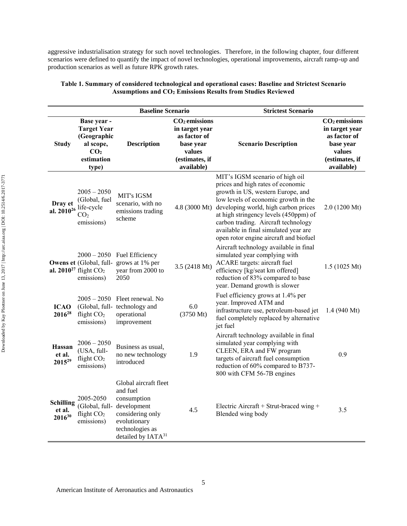aggressive industrialisation strategy for such novel technologies. Therefore, in the following chapter, four different scenarios were defined to quantify the impact of novel technologies, operational improvements, aircraft ramp-up and production scenarios as well as future RPK growth rates.

|                                    |                                                                                                         | <b>Baseline Scenario</b>                                                                                                                  |                                                                                                          | <b>Strictest Scenario</b>                                                                                                                                                                                                                                                                                                                                                  |                                                                                                                    |
|------------------------------------|---------------------------------------------------------------------------------------------------------|-------------------------------------------------------------------------------------------------------------------------------------------|----------------------------------------------------------------------------------------------------------|----------------------------------------------------------------------------------------------------------------------------------------------------------------------------------------------------------------------------------------------------------------------------------------------------------------------------------------------------------------------------|--------------------------------------------------------------------------------------------------------------------|
| <b>Study</b>                       | Base year -<br><b>Target Year</b><br>(Geographic<br>al scope,<br>CO <sub>2</sub><br>estimation<br>type) | <b>Description</b>                                                                                                                        | $CO2$ emissions<br>in target year<br>as factor of<br>base year<br>values<br>(estimates, if<br>available) | <b>Scenario Description</b>                                                                                                                                                                                                                                                                                                                                                | CO <sub>2</sub> emissions<br>in target year<br>as factor of<br>base year<br>values<br>(estimates, if<br>available) |
| Dray et                            | $2005 - 2050$<br>(Global, fuel<br>al. $2010^{26}$ life-cycle<br>CO <sub>2</sub><br>emissions)           | MIT's IGSM<br>scenario, with no<br>emissions trading<br>scheme                                                                            |                                                                                                          | MIT's IGSM scenario of high oil<br>prices and high rates of economic<br>growth in US, western Europe, and<br>low levels of economic growth in the<br>4.8 (3000 Mt) developing world, high carbon prices<br>at high stringency levels (450ppm) of<br>carbon trading. Aircraft technology<br>available in final simulated year are<br>open rotor engine aircraft and biofuel | $2.0(1200 \text{ Mt})$                                                                                             |
|                                    | al. $2010^{27}$ flight $CO2$<br>emissions)                                                              | $2000 - 2050$ Fuel Efficiency<br>Owens et (Global, full-grows at 1% per<br>year from 2000 to<br>2050                                      | 3.5 (2418 Mt)                                                                                            | Aircraft technology available in final<br>simulated year complying with<br>ACARE targets: aircraft fuel<br>efficiency [kg/seat km offered]<br>reduction of 83% compared to base<br>year. Demand growth is slower                                                                                                                                                           | $1.5(1025 \text{ Mt})$                                                                                             |
| <b>ICAO</b><br>2016 <sup>28</sup>  | flight $CO2$<br>emissions)                                                                              | $2005 - 2050$ Fleet renewal. No<br>(Global, full- technology and<br>operational<br>improvement                                            | 6.0<br>(3750 Mt)                                                                                         | Fuel efficiency grows at 1.4% per<br>year. Improved ATM and<br>infrastructure use, petroleum-based jet<br>fuel completely replaced by alternative<br>jet fuel                                                                                                                                                                                                              | 1.4 $(940 \text{ Mt})$                                                                                             |
| Hassan<br>et al.<br>$2015^{29}$    | $2006 - 2050$<br>(USA, full-<br>flight $CO2$<br>emissions)                                              | Business as usual,<br>no new technology<br>introduced                                                                                     | 1.9                                                                                                      | Aircraft technology available in final<br>simulated year complying with<br>CLEEN, ERA and FW program<br>targets of aircraft fuel consumption<br>reduction of 60% compared to B737-<br>800 with CFM 56-7B engines                                                                                                                                                           | 0.9                                                                                                                |
| Schilling<br>et al.<br>$2016^{30}$ | 2005-2050<br>(Global, full- development<br>flight $CO2$<br>emissions)                                   | Global aircraft fleet<br>and fuel<br>consumption<br>considering only<br>evolutionary<br>technologies as<br>detailed by IATA <sup>31</sup> | 4.5                                                                                                      | Electric Aircraft + Strut-braced wing +<br>Blended wing body                                                                                                                                                                                                                                                                                                               | 3.5                                                                                                                |

## **Table 1. [Summary of considered technological and operational cases:](#page-5-0) Baseline and Strictest Scenario Assumptions and CO<sup>2</sup> Emissions Results from Studies Reviewed**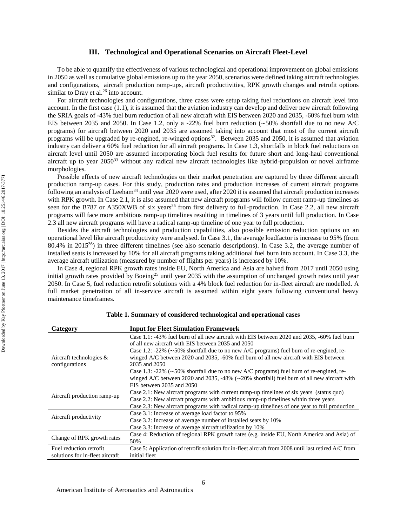#### **III. Technological and Operational Scenarios on Aircraft Fleet-Level**

To be able to quantify the effectiveness of various technological and operational improvement on global emissions in 2050 as well as cumulative global emissions up to the year 2050, scenarios were defined taking aircraft technologies and configurations, aircraft production ramp-ups, aircraft productivities, RPK growth changes and retrofit options similar to Dray et al. $26$  into account.

For aircraft technologies and configurations, three cases were setup taking fuel reductions on aircraft level into account. In the first case (1.1), it is assumed that the aviation industry can develop and deliver new aircraft following the SRIA goals of -43% fuel burn reduction of all new aircraft with EIS between 2020 and 2035, -60% fuel burn with EIS between 2035 and 2050. In Case 1.2, only a -22% fuel burn reduction ( $\sim$ 50% shortfall due to no new A/C programs) for aircraft between 2020 and 2035 are assumed taking into account that most of the current aircraft programs will be upgraded by re-engined, re-winged options<sup>32</sup>. Between 2035 and 2050, it is assumed that aviation industry can deliver a 60% fuel reduction for all aircraft programs. In Case 1.3, shortfalls in block fuel reductions on aircraft level until 2050 are assumed incorporating block fuel results for future short and long-haul conventional aircraft up to year 2050<sup>33</sup> without any radical new aircraft technologies like hybrid-propulsion or novel airframe morphologies.

Possible effects of new aircraft technologies on their market penetration are captured by three different aircraft production ramp-up cases. For this study, production rates and production increases of current aircraft programs following an analysis of Leeham<sup>34</sup> until year 2020 were used, after 2020 it is assumed that aircraft production increases with RPK growth. In Case 2.1, it is also assumed that new aircraft programs will follow current ramp-up timelines as seen for the B787 or A350XWB of six years<sup>35</sup> from first delivery to full-production. In Case 2.2, all new aircraft programs will face more ambitious ramp-up timelines resulting in timelines of 3 years until full production. In Case 2.3 all new aircraft programs will have a radical ramp-up timeline of one year to full production.

Besides the aircraft technologies and production capabilities, also possible emission reduction options on an operational level like aircraft productivity were analysed. In Case 3.1, the average loadfactor is increase to 95% (from 80.4% in 2015 <sup>36</sup>) in three different timelines (see also scenario descriptions). In Case 3.2, the average number of installed seats is increased by 10% for all aircraft programs taking additional fuel burn into account. In Case 3.3, the average aircraft utilization (measured by number of flights per years) is increased by 10%.

In Case 4, regional RPK growth rates inside EU, North America and Asia are halved from 2017 until 2050 using initial growth rates provided by Boeing<sup>25</sup> until year 2035 with the assumption of unchanged growth rates until year 2050. In Case 5, fuel reduction retrofit solutions with a 4% block fuel reduction for in-fleet aircraft are modelled. A full market penetration of all in-service aircraft is assumed within eight years following conventional heavy maintenance timeframes.

<span id="page-5-0"></span>

| Category                                     | <b>Input for Fleet Simulation Framework</b>                                                                                                                                                              |
|----------------------------------------------|----------------------------------------------------------------------------------------------------------------------------------------------------------------------------------------------------------|
|                                              | Case 1.1: -43% fuel burn of all new aircraft with EIS between 2020 and 2035, -60% fuel burn<br>of all new aircraft with EIS between 2035 and 2050                                                        |
| Aircraft technologies $\&$<br>configurations | Case 1.2: -22% ( $\sim$ 50% shortfall due to no new A/C programs) fuel burn of re-engined, re-<br>winged A/C between 2020 and 2035, -60% fuel burn of all new aircraft with EIS between<br>2035 and 2050 |
|                                              | Case 1.3: -22% ( $\sim$ 50% shortfall due to no new A/C programs) fuel burn of re-engined, re-                                                                                                           |
|                                              | winged A/C between 2020 and 2035, -48% ( $\sim$ 20% shortfall) fuel burn of all new aircraft with<br>EIS between 2035 and 2050                                                                           |
| Aircraft production ramp-up                  | Case 2.1: New aircraft programs with current ramp-up timelines of six years (status quo)                                                                                                                 |
|                                              | Case 2.2: New aircraft programs with ambitious ramp-up timelines within three years                                                                                                                      |
|                                              | Case 2.3: New aircraft programs with radical ramp-up timelines of one year to full production                                                                                                            |
| Aircraft productivity                        | Case 3.1: Increase of average load factor to 95%                                                                                                                                                         |
|                                              | Case 3.2: Increase of average number of installed seats by 10%                                                                                                                                           |
|                                              | Case 3.3: Increase of average aircraft utilization by 10%                                                                                                                                                |
| Change of RPK growth rates                   | Case 4: Reduction of regional RPK growth rates (e.g. inside EU, North America and Asia) of                                                                                                               |
|                                              | 50%                                                                                                                                                                                                      |
| Fuel reduction retrofit                      | Case 5: Application of retrofit solution for in-fleet aircraft from 2008 until last retired $A/C$ from                                                                                                   |
| solutions for in-fleet aircraft              | initial fleet                                                                                                                                                                                            |

#### **Table 1. Summary of considered technological and operational cases**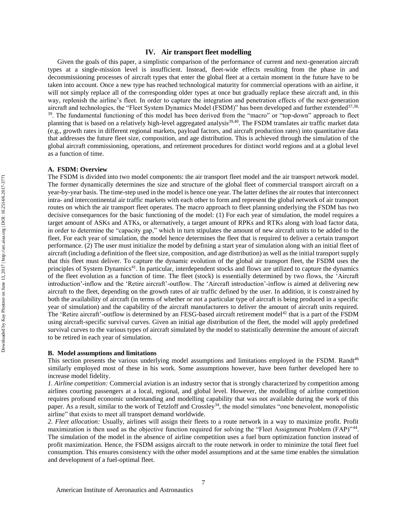Given the goals of this paper, a simplistic comparison of the performance of current and next-generation aircraft types at a single-mission level is insufficient. Instead, fleet-wide effects resulting from the phase in and decommissioning processes of aircraft types that enter the global fleet at a certain moment in the future have to be taken into account. Once a new type has reached technological maturity for commercial operations with an airline, it will not simply replace all of the corresponding older types at once but gradually replace these aircraft and, in this way, replenish the airline's fleet. In order to capture the integration and penetration effects of the next-generation aircraft and technologies, the "Fleet System Dynamics Model (FSDM)" has been developed and further extended<sup>37,38,</sup> <sup>39</sup>. The fundamental functioning of this model has been derived from the "macro" or "top-down" approach to fleet planning that is based on a relatively high-level aggregated analysis<sup>39,40</sup>. The FSDM translates air traffic market data (e.g., growth rates in different regional markets, payload factors, and aircraft production rates) into quantitative data that addresses the future fleet size, composition, and age distribution. This is achieved through the simulation of the global aircraft commissioning, operations, and retirement procedures for distinct world regions and at a global level as a function of time.

#### **A. FSDM: Overview**

The FSDM is divided into two model components: the air transport fleet model and the air transport network model. The former dynamically determines the size and structure of the global fleet of commercial transport aircraft on a year-by-year basis. The time-step used in the model is hence one year. The latter defines the air routes that interconnect intra- and intercontinental air traffic markets with each other to form and represent the global network of air transport routes on which the air transport fleet operates. The macro approach to fleet planning underlying the FSDM has two decisive consequences for the basic functioning of the model: (1) For each year of simulation, the model requires a target amount of ASKs and ATKs, or alternatively, a target amount of RPKs and RTKs along with load factor data, in order to determine the "capacity gap," which in turn stipulates the amount of new aircraft units to be added to the fleet. For each year of simulation, the model hence determines the fleet that is required to deliver a certain transport performance. (2) The user must initialize the model by defining a start year of simulation along with an initial fleet of aircraft (including a definition of the fleet size, composition, and age distribution) as well as the initial transport supply that this fleet must deliver. To capture the dynamic evolution of the global air transport fleet, the FSDM uses the principles of System Dynamics<sup>41</sup>. In particular, interdependent stocks and flows are utilized to capture the dynamics of the fleet evolution as a function of time. The fleet (stock) is essentially determined by two flows, the 'Aircraft introduction'-inflow and the 'Retire aircraft'-outflow. The 'Aircraft introduction'-inflow is aimed at delivering new aircraft to the fleet, depending on the growth rates of air traffic defined by the user. In addition, it is constrained by both the availability of aircraft (in terms of whether or not a particular type of aircraft is being produced in a specific year of simulation) and the capability of the aircraft manufacturers to deliver the amount of aircraft units required. The 'Retire aircraft'-outflow is determined by an FESG-based aircraft retirement model<sup>42</sup> that is a part of the FSDM using aircraft-specific survival curves. Given an initial age distribution of the fleet, the model will apply predefined survival curves to the various types of aircraft simulated by the model to statistically determine the amount of aircraft to be retired in each year of simulation.

#### **B. Model assumptions and limitations**

This section presents the various underlying model assumptions and limitations employed in the FSDM. Randt<sup>46</sup> similarly employed most of these in his work. Some assumptions however, have been further developed here to increase model fidelity.

*1. Airline competition:* Commercial aviation is an industry sector that is strongly characterized by competition among airlines courting passengers at a local, regional, and global level. However, the modelling of airline competition requires profound economic understanding and modelling capability that was not available during the work of this paper. As a result, similar to the work of Tetzloff and Crossley<sup>34</sup>, the model simulates "one benevolent, monopolistic airline" that exists to meet all transport demand worldwide.

*2. Fleet allocation:* Usually, airlines will assign their fleets to a route network in a way to maximize profit. Profit maximization is then used as the objective function required for solving the "Fleet Assignment Problem (FAP)"<sup>44</sup>. The simulation of the model in the absence of airline competition uses a fuel burn optimization function instead of profit maximization. Hence, the FSDM assigns aircraft to the route network in order to minimize the total fleet fuel consumption. This ensures consistency with the other model assumptions and at the same time enables the simulation and development of a fuel-optimal fleet.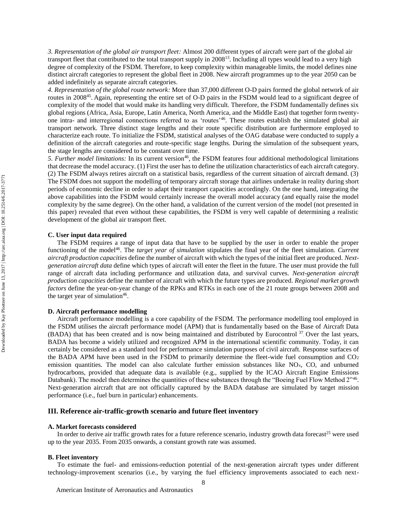*3. Representation of the global air transport fleet:* Almost 200 different types of aircraft were part of the global air transport fleet that contributed to the total transport supply in  $2008^{13}$ . Including all types would lead to a very high degree of complexity of the FSDM. Therefore, to keep complexity within manageable limits, the model defines nine distinct aircraft categories to represent the global fleet in 2008. New aircraft programmes up to the year 2050 can be added indefinitely as separate aircraft categories.

*4. Representation of the global route network:* More than 37,000 different O-D pairs formed the global network of air routes in 2008<sup>45</sup>. Again, representing the entire set of O-D pairs in the FSDM would lead to a significant degree of complexity of the model that would make its handling very difficult. Therefore, the FSDM fundamentally defines six global regions (Africa, Asia, Europe, Latin America, North America, and the Middle East) that together form twentyone intra- and interregional connections referred to as 'routes'<sup>46</sup>. These routes establish the simulated global air transport network. Three distinct stage lengths and their route specific distribution are furthermore employed to characterize each route. To initialize the FSDM, statistical analyses of the OAG database were conducted to supply a definition of the aircraft categories and route-specific stage lengths. During the simulation of the subsequent years, the stage lengths are considered to be constant over time.

5. Further model limitations: In its current version<sup>46</sup>, the FSDM features four additional methodological limitations that decrease the model accuracy. (1) First the user has to define the utilization characteristics of each aircraft category. (2) The FSDM always retires aircraft on a statistical basis, regardless of the current situation of aircraft demand. (3) The FSDM does not support the modelling of temporary aircraft storage that airlines undertake in reality during short periods of economic decline in order to adapt their transport capacities accordingly. On the one hand, integrating the above capabilities into the FSDM would certainly increase the overall model accuracy (and equally raise the model complexity by the same degree). On the other hand, a validation of the current version of the model (not presented in this paper) revealed that even without these capabilities, the FSDM is very well capable of determining a realistic development of the global air transport fleet.

#### **C. User input data required**

The FSDM requires a range of input data that have to be supplied by the user in order to enable the proper functioning of the model<sup>46</sup>. The *target year of simulation* stipulates the final year of the fleet simulation. *Current aircraft production capacities* define the number of aircraft with which the types of the initial fleet are produced. *Nextgeneration aircraft data* define which types of aircraft will enter the fleet in the future. The user must provide the full range of aircraft data including performance and utilization data, and survival curves. *Next-generation aircraft production capacities* define the number of aircraft with which the future types are produced. *Regional market growth factors* define the year-on-year change of the RPKs and RTKs in each one of the 21 route groups between 2008 and the target year of simulation<sup>46</sup>.

## **D. Aircraft performance modelling**

Aircraft performance modelling is a core capability of the FSDM. The performance modelling tool employed in the FSDM utilises the aircraft performance model (APM) that is fundamentally based on the Base of Aircraft Data (BADA) that has been created and is now being maintained and distributed by Eurocontrol<sup>37</sup>. Over the last years, BADA has become a widely utilized and recognized APM in the international scientific community. Today, it can certainly be considered as a standard tool for performance simulation purposes of civil aircraft. Response surfaces of the BADA APM have been used in the FSDM to primarily determine the fleet-wide fuel consumption and CO<sup>2</sup> emission quantities. The model can also calculate further emission substances like NO<sub>x</sub>, CO, and unburned hydrocarbons, provided that adequate data is available (e.g., supplied by the ICAO Aircraft Engine Emissions Databank). The model then determines the quantities of these substances through the "Boeing Fuel Flow Method 2"<sup>46</sup>. Next-generation aircraft that are not officially captured by the BADA database are simulated by target mission performance (i.e., fuel burn in particular) enhancements.

## **III. Reference air-traffic-growth scenario and future fleet inventory**

#### **A. Market forecasts considered**

In order to derive air traffic growth rates for a future reference scenario, industry growth data forecast<sup>25</sup> were used up to the year 2035. From 2035 onwards, a constant growth rate was assumed.

#### **B. Fleet inventory**

To estimate the fuel- and emissions-reduction potential of the next-generation aircraft types under different technology-improvement scenarios (i.e., by varying the fuel efficiency improvements associated to each next-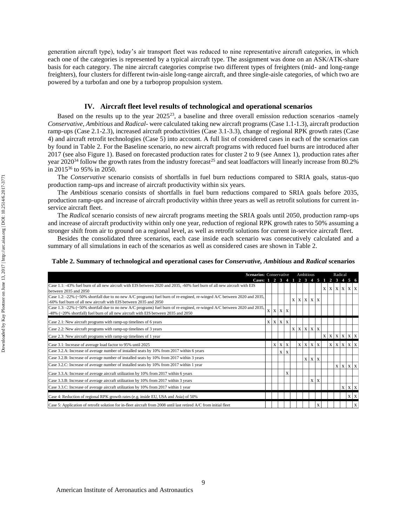generation aircraft type), today's air transport fleet was reduced to nine representative aircraft categories, in which each one of the categories is represented by a typical aircraft type. The assignment was done on an ASK/ATK-share basis for each category. The nine aircraft categories comprise two different types of freighters (mid- and long-range freighters), four clusters for different twin-aisle long-range aircraft, and three single-aisle categories, of which two are powered by a turbofan and one by a turboprop propulsion system.

## **IV. Aircraft fleet level results of technological and operational scenarios**

Based on the results up to the year  $2025^{23}$ , a baseline and three overall emission reduction scenarios -namely *Conservative*, *Ambitious* and *Radical*- were calculated taking new aircraft programs (Case 1.1-1.3), aircraft production ramp-ups (Case 2.1-2.3), increased aircraft productivities (Case 3.1-3.3), change of regional RPK growth rates (Case 4) and aircraft retrofit technologies (Case 5) into account. A full list of considered cases in each of the scenarios can by found in Table 2. For the Baseline scenario, no new aircraft programs with reduced fuel burns are introduced after 2017 (see also Figure 1). Based on forecasted production rates for cluster 2 to 9 (see Annex 1), production rates after year 2020<sup>34</sup> follow the growth rates from the industry forecast<sup>25</sup> and seat loadfactors will linearly increase from 80.2% in 2015<sup>36</sup> to 95% in 2050.

The *Conservative* scenario consists of shortfalls in fuel burn reductions compared to SRIA goals, status-quo production ramp-ups and increase of aircraft productivity within six years.

The *Ambitious* scenario consists of shortfalls in fuel burn reductions compared to SRIA goals before 2035, production ramp-ups and increase of aircraft productivity within three years as well as retrofit solutions for current inservice aircraft fleet.

The *Radical* scenario consists of new aircraft programs meeting the SRIA goals until 2050, production ramp-ups and increase of aircraft productivity within only one year, reduction of regional RPK growth rates to 50% assuming a stronger shift from air to ground on a regional level, as well as retrofit solutions for current in-service aircraft fleet.

Besides the consolidated three scenarios, each case inside each scenario was consecutively calculated and a summary of all simulations in each of the scenarios as well as considered cases are shown in Table 2.

#### **Table 2. Summary of technological and operational cases for** *Conservative, Ambitious* **and** *Radical* **scenarios**

| <b>Scenarios:</b> Conservative                                                                                                                                                                                 |  |   |                          |                |                   | Ambitious                   |                 |   |             |              | Radical      |              |                             |
|----------------------------------------------------------------------------------------------------------------------------------------------------------------------------------------------------------------|--|---|--------------------------|----------------|-------------------|-----------------------------|-----------------|---|-------------|--------------|--------------|--------------|-----------------------------|
| Cases: 1 2 3                                                                                                                                                                                                   |  |   |                          | $\overline{4}$ | $1\quad 2\quad 3$ |                             | $\overline{4}$  | 5 |             |              |              |              | 1 2 3 4 5 6                 |
| Case 1.1: -43% fuel burn of all new aircraft with EIS between 2020 and 2035, -60% fuel burn of all new aircraft with EIS<br>between 2035 and 2050                                                              |  |   |                          |                |                   |                             |                 |   | X           | $\mathbf{x}$ | $\mathbf{x}$ | $\mathbf X$  | $X \mid X$                  |
| Case 1.2: -22% (~50% shortfall due to no new A/C programs) fuel burn of re-engined, re-winged A/C between 2020 and 2035,<br>-60% fuel burn of all new aircraft with EIS between 2035 and 2050                  |  |   |                          |                |                   | $X$ $X$ $X$ $X$             |                 |   |             |              |              |              |                             |
| Case 1.3: -22% (~50% shortfall due to no new A/C programs) fuel burn of re-engined, re-winged A/C between 2020 and 2035,<br>-48% (~20% shortfall) fuel burn of all new aircraft with EIS between 2035 and 2050 |  |   | $X \mid X \mid X \mid X$ |                |                   |                             |                 |   |             |              |              |              |                             |
| Case 2.1: New aircraft programs with ramp-up timelines of 6 years                                                                                                                                              |  |   | $X$ $X$ $X$ $X$          |                |                   |                             |                 |   |             |              |              |              |                             |
| Case 2.2: New aircraft programs with ramp-up timelines of 3 years                                                                                                                                              |  |   |                          |                |                   | $X$   $X$   $X$   $X$   $X$ |                 |   |             |              |              |              |                             |
| Case 2.3: New aircraft programs with ramp-up timelines of 1 year                                                                                                                                               |  |   |                          |                |                   |                             |                 |   | $\mathbf X$ | X            | $\mathbf{x}$ |              | $X$ $X$ $X$                 |
| Case 3.1: Increase of average load factor to 95% until 2025                                                                                                                                                    |  | X | $X \mid X$               |                | $\mathbf{X}$      |                             | $X$ $X$ $X$     |   |             | X            | X            | $\mathbf{x}$ | $\mathbf X$<br>$\mathbf{x}$ |
| Case 3.2.A: Increase of average number of installed seats by 10% from 2017 within 6 years                                                                                                                      |  |   | X                        | $\mathbf{x}$   |                   |                             |                 |   |             |              |              |              |                             |
| Case 3.2.B: Increase of average number of installed seats by 10% from 2017 within 3 years                                                                                                                      |  |   |                          |                |                   |                             | $X$   $X$   $X$ |   |             |              |              |              |                             |
| Case 3.2.C: Increase of average number of installed seats by 10% from 2017 within 1 year                                                                                                                       |  |   |                          |                |                   |                             |                 |   |             |              | $\mathbf{X}$ |              | $X$ $X$ $X$                 |
| Case 3.3.A: Increase of average aircraft utilization by 10% from 2017 within 6 years                                                                                                                           |  |   |                          | X              |                   |                             |                 |   |             |              |              |              |                             |
| Case 3.3.B: Increase of average aircraft utilization by 10% from 2017 within 3 years                                                                                                                           |  |   |                          |                |                   |                             | $X \mid X$      |   |             |              |              |              |                             |
| Case 3.3.C: Increase of average aircraft utilization by 10% from 2017 within 1 year                                                                                                                            |  |   |                          |                |                   |                             |                 |   |             |              |              |              | $X$ $X$ $X$                 |
| Case 4: Reduction of regional RPK growth rates (e.g. inside EU, USA and Asia) of 50%                                                                                                                           |  |   |                          |                |                   |                             |                 |   |             |              |              |              | $X \mid X$                  |
| Case 5: Application of retrofit solution for in-fleet aircraft from 2008 until last retired A/C from initial fleet                                                                                             |  |   |                          |                |                   |                             |                 | X |             |              |              |              | $\mathbf X$                 |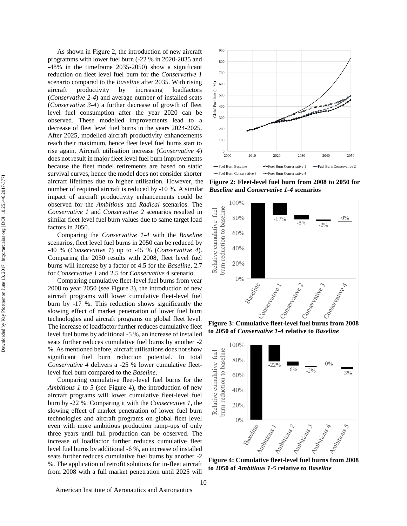As shown in Figure 2, the introduction of new aircraft programms with lower fuel burn (-22 % in 2020-2035 and -48% in the timeframe 2035-2050) show a significant reduction on fleet level fuel burn for the *Conservative 1* scenario compared to the *Baseline* after 2035. With rising aircraft productivity by increasing loadfactors (*Conservative 2-4*) and average number of installed seats (*Conservative 3-4*) a further decrease of growth of fleet level fuel consumption after the year 2020 can be observed. These modelled improvements lead to a decrease of fleet level fuel burns in the years 2024-2025. After 2025, modelled aircraft productivity enhancements reach their maximum, hence fleet level fuel burns start to rise again. Aircraft utilisation increase (*Conservative 4*) does not result in major fleet level fuel burn improvements because the fleet model retirements are based on static survival curves, hence the model does not consider shorter aircraft lifetimes due to higher utilisation. However, the number of required aircraft is reduced by -10 %. A similar impact of aircraft productivity enhancements could be observed for the *Ambitious* and *Radical* scenarios. The *Conservative 1* and *Conservative 2* scenarios resulted in similar fleet level fuel burn values due to same target load factors in 2050.

Comparing the *Conservative 1-4* with the *Baseline* scenarios, fleet level fuel burns in 2050 can be reduced by -40 % (*Conservative 1*) up to -45 % (*Conservative 4*). Comparing the 2050 results with 2008, fleet level fuel burns will increase by a factor of 4.5 for the *Baseline*, 2.7 for *Conservative 1* and 2.5 for *Conservative 4* scenario.

Comparing cumulative fleet-level fuel burns from year 2008 to year 2050 (see Figure 3), the introduction of new aircraft programs will lower cumulative fleet-level fuel burn by -17 %. This reduction shows significantly the slowing effect of market penetration of lower fuel burn technologies and aircraft programs on global fleet level. The increase of loadfactor further reduces cumulative fleet level fuel burns by additional -5 %, an increase of installed seats further reduces cumulative fuel burns by another -2 %. As mentioned before, aircraft utilisations does not show significant fuel burn reduction potential. In total *Conservative 4* delivers a -25 % lower cumulative fleetlevel fuel burn compared to the *Baseline*.

Comparing cumulative fleet-level fuel burns for the *Ambitious 1* to *5* (see Figure 4), the introduction of new aircraft programs will lower cumulative fleet-level fuel burn by -22 %. Comparing it with the *Conservative 1*, the slowing effect of market penetration of lower fuel burn technologies and aircraft programs on global fleet level even with more ambitious production ramp-ups of only three years until full production can be observed. The increase of loadfactor further reduces cumulative fleet level fuel burns by additional -6 %, an increase of installed seats further reduces cumulative fuel burns by another -2 %. The application of retrofit solutions for in-fleet aircraft from 2008 with a full market penetration until 2025 will



**Figure 2: Fleet-level fuel burn from 2008 to 2050 for**  *Baseline* **and** *Conservative 1-4* **scenarios**



**to 2050 of** *Conservative 1-4* **relative to** *Baseline*



**Figure 4: Cumulative fleet-level fuel burns from 2008 to 2050 of** *Ambitious 1-5* **relative to** *Baseline*

American Institute of Aeronautics and Astronautics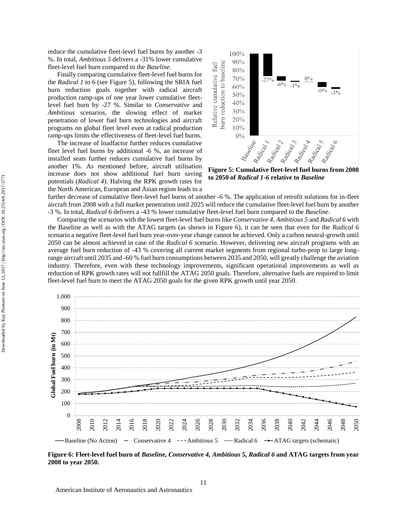reduce the cumulative fleet-level fuel burns by another -3 %. In total, *Ambitious 5* delivers a -31% lower cumulative fleet-level fuel burn compared to the *Baseline*.

Finally comparing cumulative fleet-level fuel burns for the *Radical 1* to 6 (see Figure 5), following the SRIA fuel burn reduction goals together with radical aircraft production ramp-ups of one year lower cumulative fleetlevel fuel burn by -27 %. Similar to *Conservative* and *Ambitious* scenarios, the slowing effect of market penetration of lower fuel burn technologies and aircraft programs on global fleet level even at radical production ramp-ups limits the effectiveness of fleet-level fuel burns.

The increase of loadfactor further reduces cumulative fleet level fuel burns by additional -6 %, an increase of installed seats further reduces cumulative fuel burns by another 1%. As mentioned before, aircraft utilisation increase does not show additional fuel burn saving potentials (*Radical 4*). Halving the RPK growth rates for the North American, European and Asian region leads to a



**to 2050 of** *Radical 1-6* **relative to** *Baseline*

further decrease of cumulative fleet-level fuel burns of another -6 %. The application of retrofit solutions for in-fleet aircraft from 2008 with a full market penetration until 2025 will reduce the cumulative fleet-level fuel burn by another -3 %. In total, *Radical 6* delivers a -43 % lower cumulative fleet-level fuel burn compared to the *Baseline*.

Comparing the scenarios with the lowest fleet-level fuel burns like *Conservative 4, Ambitious 5* and *Radical 6* with the Baseline as well as with the ATAG targets (as shown in Figure 6), it can be seen that even for the *Radical 6* scenario a negative fleet-level fuel burn year-over-year change cannot be achieved. Only a carbon neutral-growth until 2050 can be almost achieved in case of the *Radical 6* scenario. However, delivering new aircraft programs with an average fuel burn reduction of -43 % covering all current market segments from regional turbo-prop to large longrange aircraft until 2035 and -60 % fuel burn consumptions between 2035 and 2050, will greatly challenge the aviation industry. Therefore, even with these technology improvements, significant operational improvements as well as reduction of RPK growth rates will not fullfill the ATAG 2050 goals. Therefore, alternative fuels are required to limit fleet-level fuel burn to meet the ATAG 2050 goals for the given RPK growth until year 2050.



**Figure 6: Fleet-level fuel burn of** *Baseline, Conservative 4, Ambitious 5, Radical 6* **and ATAG targets from year 2008 to year 2050.**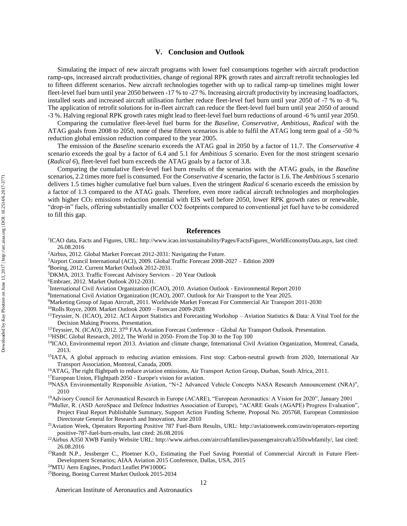#### **V. Conclusion and Outlook**

Simulating the impact of new aircraft programs with lower fuel consumptions together with aircraft production ramp-ups, increased aircraft productivities, change of regional RPK growth rates and aircraft retrofit technologies led to fifteen different scenarios. New aircraft technologies together with up to radical ramp-up timelines might lower fleet-level fuel burn until year 2050 between -17 % to -27 %. Increasing aircraft productivity by increasing loadfactors, installed seats and increased aircraft utilisation further reduce fleet-level fuel burn until year 2050 of -7 % to -8 %. The application of retrofit solutions for in-fleet aircraft can reduce the fleet-level fuel burn until year 2050 of around -3 %. Halving regional RPK growth rates might lead to fleet-level fuel burn reductions of around -6 % until year 2050.

Comparing the cumulative fleet-level fuel burns for the *Baseline*, *Conservative*, *Ambitious*, *Radical* with the ATAG goals from 2008 to 2050, none of these fifteen scenarios is able to fulfil the ATAG long term goal of a -50 % reduction global emission reduction compared to the year 2005.

The emission of the *Baseline* scenario exceeds the ATAG goal in 2050 by a factor of 11.7. The *Conservative 4* scenario exceeds the goal by a factor of 6.4 and 5.1 for *Ambitious 5* scenario. Even for the most stringent scenario (*Radical 6*), fleet-level fuel burn exceeds the ATAG goals by a factor of 3.8.

Comparing the cumulative fleet-level fuel burn results of the scenarios with the ATAG goals, in the *Baseline* scenarios, 2.2 times more fuel is consumed. For the *Conservative 4* scenario, the factor is 1.6. The *Ambitious 5* scenario delivers 1.5 times higher cumulative fuel burn values. Even the stringent *Radical 6* scenario exceeds the emission by a factor of 1.3 compared to the ATAG goals. Therefore, even more radical aircraft technologies and morphologies with higher  $CO_2$  emissions reduction potential with EIS well before 2050, lower RPK growth rates or renewable, "drop-in" fuels, offering substantially smaller CO2 footprints compared to conventional jet fuel have to be considered to fill this gap.

## **References**

- 1 ICAO data, Facts and Figures, URL: http://www.icao.int/sustainability/Pages/FactsFigures\_WorldEconomyData.aspx, last cited: 26.08.2016
- <sup>2</sup>Airbus, 2012. Global Market Forecast 2012-2031: Navigating the Future.
- <sup>3</sup>Airport Council International (ACI), 2009. Global Traffic Forecast 2008-2027 Edition 2009
- <sup>4</sup>Boeing, 2012. Current Market Outlook 2012-2031.
- <sup>5</sup>DKMA, 2013. Traffic Forecast Advisory Services 20 Year Outlook
- <sup>6</sup>Embraer, 2012. Market Outlook 2012-2031.
- 7 International Civil Aviation Organization (ICAO), 2010. Aviation Outlook Environmental Report 2010
- <sup>8</sup>International Civil Aviation Organization (ICAO), 2007. Outlook for Air Transport to the Year 2025.
- <sup>9</sup>Marketing Group of Japan Aircraft, 2011. Worldwide Market Forecast For Commercial Air Transport 2011-2030

<sup>10</sup>Rolls Royce, 2009. Market Outlook 2009 – Forecast 2009-2028

- <sup>11</sup>Teyssier, N. (ICAO), 2012. ACI Airport Statistics and Forecasting Workshop Aviation Statistics & Data: A Vital Tool for the Decision Making Process. Presentation.
- $12$ Teyssier, N. (ICAO), 2012. 37<sup>th</sup> FAA Aviation Forecast Conference Global Air Transport Outlook. Presentation.
- <sup>13</sup>HSBC Global Research, 2012, The World in 2050- From the Top 30 to the Top 100
- <sup>14</sup>ICAO, Environmental report 2013. Aviation and climate change, International Civil Aviation Organization, Montreal, Canada, 2013.
- <sup>15</sup>IATA, A global approach to reducing aviation emissions. First stop: Carbon-neutral growth from 2020, International Air Transport Association, Montreal, Canada, 2009.
- <sup>16</sup>ATAG, The right flightpath to reduce aviation emissions, Air Transport Action Group, Durban, South Africa, 2011.
- <sup>17</sup>European Union, Flightpath 2050 Europe's vision for aviation.
- <sup>18</sup>NASA Environmentally Responsible Aviation, "N+2 Advanced Vehicle Concepts NASA Research Announcement (NRA)", 2010
- <sup>19</sup>Advisory Council for Aeronautical Research in Europe (ACARE), "European Aeronautics: A Vision for 2020", January 2001
- <sup>20</sup>Muller, R. (ASD AeroSpace and Defence Industries Association of Europe), "ACARE Goals (AGAPE) Progress Evaluation", Project Final Report Publishable Summary, Support Action Funding Scheme, Proposal No. 205768, European Commission Directorate General for Research and Innovation, June 2010
- <sup>21</sup>Aviation Week, Operators Reporting Positive 787 Fuel-Burn Results, URL: http://aviationweek.com/awin/operators-reporting positive-787-fuel-burn-results, last cited: 26.08.2016
- <sup>22</sup>Airbus A350 XWB Family Website URL: http://www.airbus.com/aircraftfamilies/passengeraircraft/a350xwbfamily/, last cited: 26.08.2016
- $23$ Randt N.P., Jessberger C., Ploetner K.O., Estimating the Fuel Saving Potential of Commercial Aircraft in Future Fleet-Development Scenarios; AIAA Aviation 2015 Conference, Dallas, USA, 2015

<sup>24</sup>MTU Aero Engines, Product Leaflet PW1000G

<sup>25</sup>Boeing, Boeing Current Market Outlook 2015-2034

American Institute of Aeronautics and Astronautics